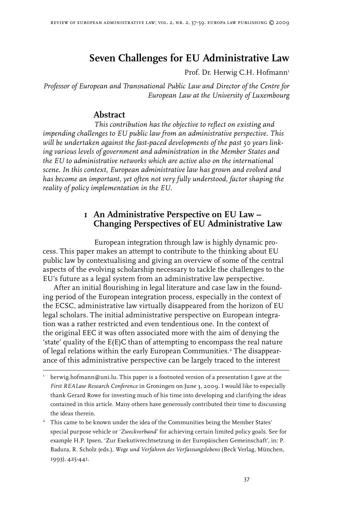# **Seven Challenges for EU Administrative Law**

Prof. Dr. Herwig C.H. Hofmann<sup>1</sup>

*Professor of European and Transnational Public Law and Director of the Centre for European Law at the University of Luxembourg*

## **Abstract**

*This contribution has the objective to reflect on existing and impending challenges to EU public law from an administrative perspective. This will be undertaken against the fast-paced developments of the past 50 years linking various levels of government and administration in the Member States and the EU to administrative networks which are active also on the international scene. In this context, European administrative law has grown and evolved and has become an important, yet often not very fully understood, factor shaping the reality of policy implementation in the EU.* 

# **1 An Administrative Perspective on EU Law – Changing Perspectives of EU Administrative Law**

European integration through law is highly dynamic process. This paper makes an attempt to contribute to the thinking about EU public law by contextualising and giving an overview of some of the central aspects of the evolving scholarship necessary to tackle the challenges to the EU's future as a legal system from an administrative law perspective.

After an initial flourishing in legal literature and case law in the founding period of the European integration process, especially in the context of the ECSC, administrative law virtually disappeared from the horizon of EU legal scholars. The initial administrative perspective on European integration was a rather restricted and even tendentious one. In the context of the original EEC it was often associated more with the aim of denying the 'state' quality of the E(E)C than of attempting to encompass the real nature of legal relations within the early European Communities. The disappearance of this administrative perspective can be largely traced to the interest

I herwig.hofmann@uni.lu. This paper is a footnoted version of a presentation I gave at the *First REALaw Research Conference* in Groningen on June 3, 2009. I would like to especially thank Gerard Rowe for investing much of his time into developing and clarifying the ideas contained in this article. Many others have generously contributed their time to discussing the ideas therein.

<sup>&</sup>lt;sup>2</sup> This came to be known under the idea of the Communities being the Member States' special purpose vehicle or '*Zweckverband*' for achieving certain limited policy goals. See for example H.P. Ipsen, 'Zur Exekutivrechtsetzung in der Europäischen Gemeinschaft', in: P. Badura, R. Scholz (eds.), *Wege und Verfahren des Verfassungslebens* (Beck Verlag, München, 1993), 425-441.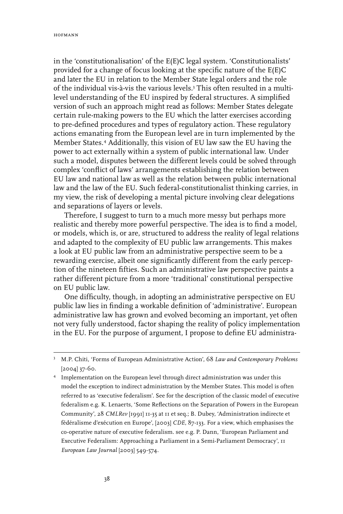in the 'constitutionalisation' of the E(E)C legal system. 'Constitutionalists' provided for a change of focus looking at the specific nature of the E(E)C and later the EU in relation to the Member State legal orders and the role of the individual vis-à-vis the various levels. This often resulted in a multilevel understanding of the EU inspired by federal structures. A simplified version of such an approach might read as follows: Member States delegate certain rule-making powers to the EU which the latter exercises according to pre-defined procedures and types of regulatory action. These regulatory actions emanating from the European level are in turn implemented by the Member States.<sup>4</sup> Additionally, this vision of EU law saw the EU having the power to act externally within a system of public international law. Under such a model, disputes between the different levels could be solved through complex 'conflict of laws' arrangements establishing the relation between EU law and national law as well as the relation between public international law and the law of the EU. Such federal-constitutionalist thinking carries, in my view, the risk of developing a mental picture involving clear delegations and separations of layers or levels.

Therefore, I suggest to turn to a much more messy but perhaps more realistic and thereby more powerful perspective. The idea is to find a model, or models, which is, or are, structured to address the reality of legal relations and adapted to the complexity of EU public law arrangements. This makes a look at EU public law from an administrative perspective seem to be a rewarding exercise, albeit one significantly different from the early perception of the nineteen fifties. Such an administrative law perspective paints a rather different picture from a more 'traditional' constitutional perspective on EU public law.

One difficulty, though, in adopting an administrative perspective on EU public law lies in finding a workable definition of 'administrative'. European administrative law has grown and evolved becoming an important, yet often not very fully understood, factor shaping the reality of policy implementation in the EU. For the purpose of argument, I propose to define EU administra-

M.P. Chiti, 'Forms of European Administrative Action', 68 *Law and Contemporary Problems*  [2004] 37-60.

<sup>&</sup>lt;sup>4</sup> Implementation on the European level through direct administration was under this model the exception to indirect administration by the Member States. This model is often referred to as 'executive federalism'. See for the description of the classic model of executive federalism e.g. K. Lenaerts, 'Some Reflections on the Separation of Powers in the European Community', 28 *CMLRev* [1991] 11-35 at 11 et seq.; B. Dubey, 'Administration indirecte et fédéralisme d'exécution en Europe', [2003] *CDE*, 87-133. For a view, which emphasises the co-operative nature of executive federalism. see e.g. P. Dann, 'European Parliament and Executive Federalism: Approaching a Parliament in a Semi-Parliament Democracy', 11 *European Law Journal* [2003] 549-574.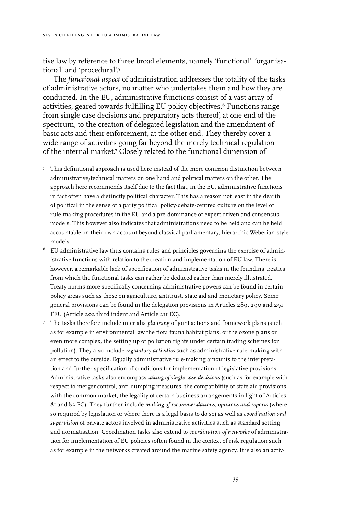tive law by reference to three broad elements, namely 'functional', 'organisational' and 'procedural'.

The *functional aspect* of administration addresses the totality of the tasks of administrative actors, no matter who undertakes them and how they are conducted. In the EU, administrative functions consist of a vast array of activities, geared towards fulfilling EU policy objectives.<sup>6</sup> Functions range from single case decisions and preparatory acts thereof, at one end of the spectrum, to the creation of delegated legislation and the amendment of basic acts and their enforcement, at the other end. They thereby cover a wide range of activities going far beyond the merely technical regulation of the internal market.<sup>7</sup> Closely related to the functional dimension of

- <sup>5</sup> This definitional approach is used here instead of the more common distinction between administrative/technical matters on one hand and political matters on the other. The approach here recommends itself due to the fact that, in the EU, administrative functions in fact often have a distinctly political character. This has a reason not least in the dearth of political in the sense of a party political policy-debate-centred culture on the level of rule-making procedures in the EU and a pre-dominance of expert driven and consensus models. This however also indicates that administrations need to be held and can be held accountable on their own account beyond classical parliamentary, hierarchic Weberian-style models.
- $6$  EU administrative law thus contains rules and principles governing the exercise of administrative functions with relation to the creation and implementation of EU law. There is, however, a remarkable lack of specification of administrative tasks in the founding treaties from which the functional tasks can rather be deduced rather than merely illustrated. Treaty norms more specifically concerning administrative powers can be found in certain policy areas such as those on agriculture, antitrust, state aid and monetary policy. Some general provisions can be found in the delegation provisions in Articles 289, 290 and 291 FEU (Article 202 third indent and Article 211 EC).
- The tasks therefore include inter alia *planning* of joint actions and framework plans (such as for example in environmental law the flora fauna habitat plans, or the ozone plans or even more complex, the setting up of pollution rights under certain trading schemes for pollution). They also include *regulatory activities* such as administrative rule-making with an effect to the outside. Equally administrative rule-making amounts to the interpretation and further specification of conditions for implementation of legislative provisions. Administrative tasks also encompass *taking of single case decisions* (such as for example with respect to merger control, anti-dumping measures, the compatibitity of state aid provisions with the common market, the legality of certain business arrangements in light of Articles 81 and 82 EC). They further include *making of recommendations, opinions and reports* (where so required by legislation or where there is a legal basis to do so) as well as *coordination and supervision* of private actors involved in administrative activities such as standard setting and normatisation. Coordination tasks also extend to *coordination of networks* of administration for implementation of EU policies (often found in the context of risk regulation such as for example in the networks created around the marine safety agency. It is also an activ-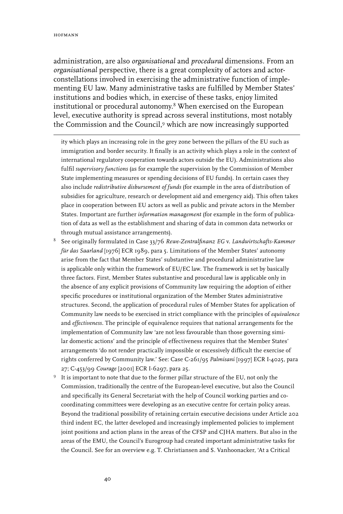administration, are also *organisational* and *procedural* dimensions. From an *organisational* perspective, there is a great complexity of actors and actorconstellations involved in exercising the administrative function of implementing EU law. Many administrative tasks are fulfilled by Member States' institutions and bodies which, in exercise of these tasks, enjoy limited institutional or procedural autonomy.<sup>8</sup> When exercised on the European level, executive authority is spread across several institutions, most notably the Commission and the Council,<sup>9</sup> which are now increasingly supported

ity which plays an increasing role in the grey zone between the pillars of the EU such as immigration and border security. It finally is an activity which plays a role in the context of international regulatory cooperation towards actors outside the EU). Administrations also fulfil *supervisory functions* (as for example the supervision by the Commission of Member State implementing measures or spending decisions of EU funds). In certain cases they also include *redistributive disbursement of funds* (for example in the area of distribution of subsidies for agriculture, research or development aid and emergency aid). This often takes place in cooperation between EU actors as well as public and private actors in the Member States. Important are further *information management* (for example in the form of publication of data as well as the establishment and sharing of data in common data networks or through mutual assistance arrangements).

- See originally formulated in Case 33/76 *Rewe-Zentralfinanz EG* v. *Landwirtschafts-Kammer für das Saarland* [1976] ECR 1989, para 5. Limitations of the Member States' autonomy arise from the fact that Member States' substantive and procedural administrative law is applicable only within the framework of EU/EC law. The framework is set by basically three factors. First, Member States substantive and procedural law is applicable only in the absence of any explicit provisions of Community law requiring the adoption of either specific procedures or institutional organization of the Member States administrative structures. Second, the application of procedural rules of Member States for application of Community law needs to be exercised in strict compliance with the principles of *equivalence* and *effectiveness.* The principle of equivalence requires that national arrangements for the implementation of Community law 'are not less favourable than those governing similar domestic actions' and the principle of effectiveness requires that the Member States' arrangements 'do not render practically impossible or excessively difficult the exercise of rights conferred by Community law.' See: Case C-261/95 *Palmisani* [1997] ECR I-4025, para 27; C-453/99 *Courage* [2001] ECR I-6297, para 25.
- It is important to note that due to the former pillar structure of the EU, not only the Commission, traditionally the centre of the European-level executive, but also the Council and specifically its General Secretariat with the help of Council working parties and cocoordinating committees were developing as an executive centre for certain policy areas. Beyond the traditional possibility of retaining certain executive decisions under Article 202 third indent EC, the latter developed and increasingly implemented policies to implement joint positions and action plans in the areas of the CFSP and CJHA matters. But also in the areas of the EMU, the Council's Eurogroup had created important administrative tasks for the Council. See for an overview e.g. T. Christiansen and S. Vanhoonacker, 'At a Critical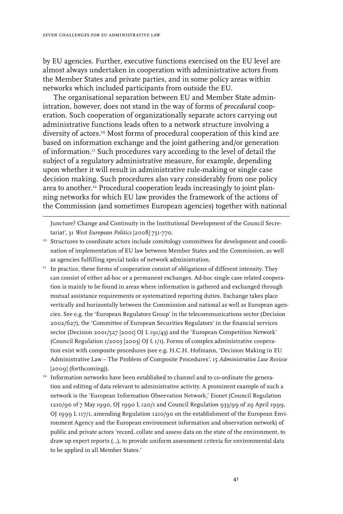by EU agencies. Further, executive functions exercised on the EU level are almost always undertaken in cooperation with administrative actors from the Member States and private parties, and in some policy areas within networks which included participants from outside the EU.

The organisational separation between EU and Member State administration, however, does not stand in the way of forms of *procedural* cooperation. Such cooperation of organizationally separate actors carrying out administrative functions leads often to a network structure involving a diversity of actors.10 Most forms of procedural cooperation of this kind are based on information exchange and the joint gathering and/or generation of information.11 Such procedures vary according to the level of detail the subject of a regulatory administrative measure, for example, depending upon whether it will result in administrative rule-making or single case decision making. Such procedures also vary considerably from one policy area to another.<sup>12</sup> Procedural cooperation leads increasingly to joint planning networks for which EU law provides the framework of the actions of the Commission (and sometimes European agencies) together with national

Juncture? Change and Continuity in the Institutional Development of the Council Secretariat', 31 *West European Politics* [2008] 751-770.

- <sup>10</sup> Structures to coordinate actors include comitology committees for development and coordination of implementation of EU law between Member States and the Commission, as well as agencies fulfilling special tasks of network administration.
- $11$  In practice, these forms of cooperation consist of obligations of different intensity. They can consist of either ad-hoc or a permanent exchanges. Ad-hoc single case related cooperation is mainly to be found in areas where information is gathered and exchanged through mutual assistance requirements or systematized reporting duties. Exchange takes place vertically and horizontally between the Commission and national as well as European agencies. See e.g. the 'European Regulators Group' in the telecommunications sector (Decision 2002/627), the 'Committee of European Securities Regulators' in the financial services sector (Decision 2001/527 [2001] OJ L 191/43) and the 'European Competition Network' (Council Regulation  $1/2003$  [2003] OJ L  $1/1$ ). Forms of complex administrative cooperation exist with composite procedures (see e.g. H.C.H. Hofmann, 'Decision Making in EU Administrative Law – The Problem of Composite Procedures', 15 *Administrative Law Review*  [2009] (forthcoming)).
- $12$  Information networks have been established to channel and to co-ordinate the generation and editing of data relevant to administrative activity. A prominent example of such a network is the 'European Information Observation Network,' Eionet (Council Regulation 1210/90 of 7 May 1990, OJ 1990 L 120/1 and Council Regulation 933/99 of 29 April 1999, OJ 1999 L 117/1, amending Regulation 1210/90 on the establishment of the European Environment Agency and the European environment information and observation network) of public and private actors 'record, collate and assess data on the state of the environment, to draw up expert reports (…), to provide uniform assessment criteria for environmental data to be applied in all Member States.'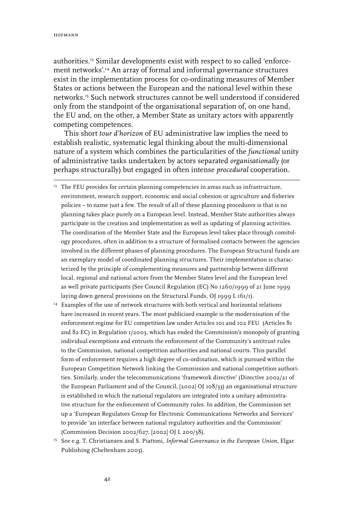authorities.13 Similar developments exist with respect to so called 'enforcement networks'.14 An array of formal and informal governance structures exist in the implementation process for co-ordinating measures of Member States or actions between the European and the national level within these networks.15 Such network structures cannot be well understood if considered only from the standpoint of the organisational separation of, on one hand, the EU and, on the other, a Member State as unitary actors with apparently competing competences.

This short *tour d'horizon* of EU administrative law implies the need to establish realistic, systematic legal thinking about the multi-dimensional nature of a system which combines the particularities of the *functional* unity of administrative tasks undertaken by actors separated *organisationally* (or perhaps structurally) but engaged in often intense *procedural* cooperation.

- <sup>13</sup> The FEU provides for certain planning competencies in areas such as infrastructure, environment, research support, economic and social cohesion or agriculture and fisheries policies – to name just a few. The result of all of these planning procedures is that is no planning takes place purely on a European level. Instead, Member State authorities always participate in the creation and implementation as well as updating of planning activities. The coordination of the Member State and the European level takes place through comitology procedures, often in addition to a structure of formalised contacts between the agencies involved in the different phases of planning procedures. The European Structural funds are an exemplary model of coordinated planning structures. Their implementation is characterized by the principle of complementing measures and partnership between different local, regional and national actors from the Member States level and the European level as well private participants (See Council Regulation (EC) No 1260/1999 of 21 June 1999 laying down general provisions on the Structural Funds, OJ 1999 L 161/1).
- <sup>14</sup> Examples of the use of network structures with both vertical and horizontal relations have increased in recent years. The most publicised example is the modernisation of the enforcement regime for EU competition law under Articles 101 and 102 FEU (Articles 81 and 82 EC) in Regulation 1/2003, which has ended the Commission's monopoly of granting individual exemptions and entrusts the enforcement of the Community's antitrust rules to the Commission, national competition authorities and national courts. This parallel form of enforcement requires a high degree of co-ordination, which is pursued within the European Competition Network linking the Commission and national competition authorities. Similarly, under the telecommunications 'framework directive' (Directive 2002/21 of the European Parliament and of the Council, [2002] OJ 108/33) an organisational structure is established in which the national regulators are integrated into a unitary administrative structure for the enforcement of Community rules. In addition, the Commission set up a 'European Regulators Group for Electronic Communications Networks and Services' to provide 'an interface between national regulatory authorities and the Commission' (Commission Decision 2002/627, [2002] OJ L 200/38).
- <sup>15</sup> See e.g. T. Christiansen and S. Piattoni, *Informal Governance in the European Union*, Elgar Publishing (Cheltenham 2003).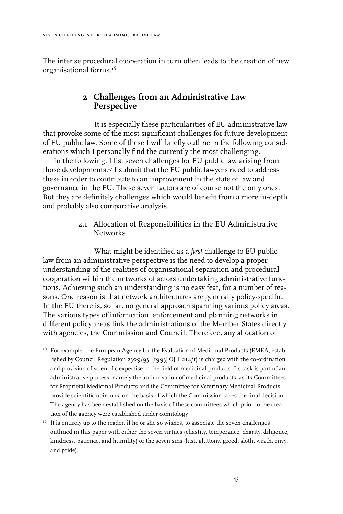The intense procedural cooperation in turn often leads to the creation of new organisational forms.<sup>16</sup>

# **2 Challenges from an Administrative Law Perspective**

It is especially these particularities of EU administrative law that provoke some of the most significant challenges for future development of EU public law. Some of these I will briefly outline in the following considerations which I personally find the currently the most challenging.

In the following, I list seven challenges for EU public law arising from those developments.17 I submit that the EU public lawyers need to address these in order to contribute to an improvement in the state of law and governance in the EU. These seven factors are of course not the only ones. But they are definitely challenges which would benefit from a more in-depth and probably also comparative analysis.

> 2.1 Allocation of Responsibilities in the EU Administrative **Networks**

What might be identified as a *first* challenge to EU public law from an administrative perspective is the need to develop a proper understanding of the realities of organisational separation and procedural cooperation within the networks of actors undertaking administrative functions. Achieving such an understanding is no easy feat, for a number of reasons. One reason is that network architectures are generally policy-specific. In the EU there is, so far, no general approach spanning various policy areas. The various types of information, enforcement and planning networks in different policy areas link the administrations of the Member States directly with agencies, the Commission and Council. Therefore, any allocation of

<sup>&</sup>lt;sup>16</sup> For example, the European Agency for the Evaluation of Medicinal Products (EMEA, established by Council Regulation 2309/93, [1993] OJ L 214/1) is charged with the co-ordination and provision of scientific expertise in the field of medicinal products. Its task is part of an administrative process, namely the authorisation of medicinal products, as its Committees for Proprietal Medicinal Products and the Committee for Veterinary Medicinal Products provide scientific opinions, on the basis of which the Commission takes the final decision. The agency has been established on the basis of these committees which prior to the creation of the agency were established under comitology

<sup>&</sup>lt;sup>17</sup> It is entirely up to the reader, if he or she so wishes, to associate the seven challenges outlined in this paper with either the seven virtues (chastity, temperance, charity, diligence, kindness, patience, and humility) or the seven sins (lust, gluttony, greed, sloth, wrath, envy, and pride).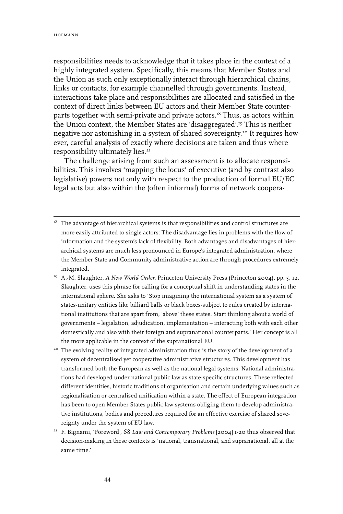responsibilities needs to acknowledge that it takes place in the context of a highly integrated system. Specifically, this means that Member States and the Union as such only exceptionally interact through hierarchical chains, links or contacts, for example channelled through governments. Instead, interactions take place and responsibilities are allocated and satisfied in the context of direct links between EU actors and their Member State counterparts together with semi-private and private actors.<sup>18</sup> Thus, as actors within the Union context, the Member States are 'disaggregated'.19 This is neither negative nor astonishing in a system of shared sovereignty.20 It requires however, careful analysis of exactly where decisions are taken and thus where responsibility ultimately lies.<sup>21</sup>

The challenge arising from such an assessment is to allocate responsibilities. This involves 'mapping the locus' of executive (and by contrast also legislative) powers not only with respect to the production of formal EU/EC legal acts but also within the (often informal) forms of network coopera-

- $18$  The advantage of hierarchical systems is that responsibilities and control structures are more easily attributed to single actors: The disadvantage lies in problems with the flow of information and the system's lack of flexibility. Both advantages and disadvantages of hierarchical systems are much less pronounced in Europe's integrated administration, where the Member State and Community administrative action are through procedures extremely integrated.
- 19 A.-M. Slaughter, *A New World Order*, Princeton University Press (Princeton 2004), pp. 5, 12. Slaughter, uses this phrase for calling for a conceptual shift in understanding states in the international sphere. She asks to 'Stop imagining the international system as a system of states-unitary entities like billiard balls or black boxes-subject to rules created by international institutions that are apart from, 'above' these states. Start thinking about a world of governments – legislation, adjudication, implementation – interacting both with each other domestically and also with their foreign and supranational counterparts.' Her concept is all the more applicable in the context of the supranational EU.
- <sup>20</sup> The evolving reality of integrated administration thus is the story of the development of a system of decentralised yet cooperative administrative structures. This development has transformed both the European as well as the national legal systems. National administrations had developed under national public law as state-specific structures. These reflected different identities, historic traditions of organisation and certain underlying values such as regionalisation or centralised unification within a state. The effect of European integration has been to open Member States public law systems obliging them to develop administrative institutions, bodies and procedures required for an effective exercise of shared sovereignty under the system of EU law.
- 21 F. Bignami, 'Foreword', 68 *Law and Contemporary Problems* [2004] 1-20 thus observed that decision-making in these contexts is 'national, transnational, and supranational, all at the same time.'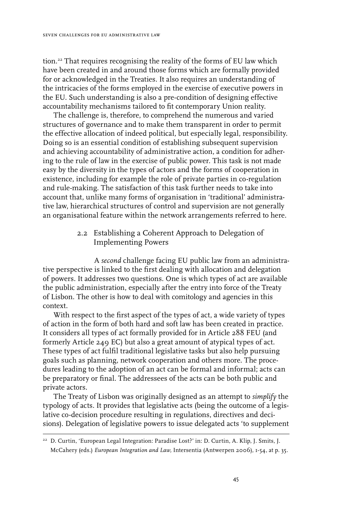tion.22 That requires recognising the reality of the forms of EU law which have been created in and around those forms which are formally provided for or acknowledged in the Treaties. It also requires an understanding of the intricacies of the forms employed in the exercise of executive powers in the EU. Such understanding is also a pre-condition of designing effective accountability mechanisms tailored to fit contemporary Union reality.

The challenge is, therefore, to comprehend the numerous and varied structures of governance and to make them transparent in order to permit the effective allocation of indeed political, but especially legal, responsibility. Doing so is an essential condition of establishing subsequent supervision and achieving accountability of administrative action, a condition for adhering to the rule of law in the exercise of public power. This task is not made easy by the diversity in the types of actors and the forms of cooperation in existence, including for example the role of private parties in co-regulation and rule-making. The satisfaction of this task further needs to take into account that, unlike many forms of organisation in 'traditional' administrative law, hierarchical structures of control and supervision are not generally an organisational feature within the network arrangements referred to here.

### 2.2 Establishing a Coherent Approach to Delegation of Implementing Powers

A *second* challenge facing EU public law from an administrative perspective is linked to the first dealing with allocation and delegation of powers. It addresses two questions. One is which types of act are available the public administration, especially after the entry into force of the Treaty of Lisbon. The other is how to deal with comitology and agencies in this context.

With respect to the first aspect of the types of act, a wide variety of types of action in the form of both hard and soft law has been created in practice. It considers all types of act formally provided for in Article 288 FEU (and formerly Article 249 EC) but also a great amount of atypical types of act. These types of act fulfil traditional legislative tasks but also help pursuing goals such as planning, network cooperation and others more. The procedures leading to the adoption of an act can be formal and informal; acts can be preparatory or final. The addressees of the acts can be both public and private actors.

The Treaty of Lisbon was originally designed as an attempt to *simplify* the typology of acts. It provides that legislative acts (being the outcome of a legislative co-decision procedure resulting in regulations, directives and decisions). Delegation of legislative powers to issue delegated acts 'to supplement

<sup>&</sup>lt;sup>22</sup> D. Curtin, 'European Legal Integration: Paradise Lost?' in: D. Curtin, A. Klip, J. Smits, J. McCahery (eds.) *European Integration and Law,* Intersentia (Antwerpen 2006), 1-54, at p. 35.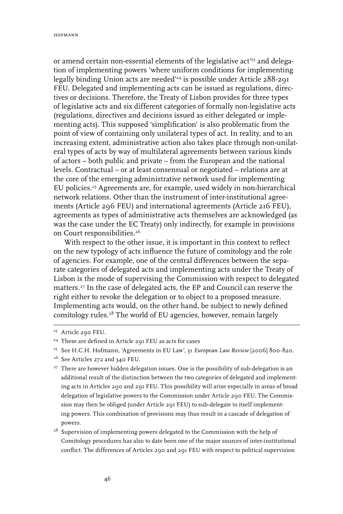or amend certain non-essential elements of the legislative act<sup>233</sup> and delegation of implementing powers 'where uniform conditions for implementing legally binding Union acts are needed'24 is possible under Article 288-291 FEU. Delegated and implementing acts can be issued as regulations, directives or decisions. Therefore, the Treaty of Lisbon provides for three types of legislative acts and six different categories of formally non-legislative acts (regulations, directives and decisions issued as either delegated or implementing acts). This supposed 'simplification' is also problematic from the point of view of containing only unilateral types of act. In reality, and to an increasing extent, administrative action also takes place through non-unilateral types of acts by way of multilateral agreements between various kinds of actors – both public and private – from the European and the national levels. Contractual – or at least consensual or negotiated – relations are at the core of the emerging administrative network used for implementing EU policies.<sup>25</sup> Agreements are, for example, used widely in non-hierarchical network relations. Other than the instrument of inter-institutional agreements (Article 296 FEU) and international agreements (Article 216 FEU), agreements as types of administrative acts themselves are acknowledged (as was the case under the EC Treaty) only indirectly, for example in provisions on Court responsibilities.<sup>26</sup>

With respect to the other issue, it is important in this context to reflect on the new typology of acts influence the future of comitology and the role of agencies. For example, one of the central differences between the separate categories of delegated acts and implementing acts under the Treaty of Lisbon is the mode of supervising the Commission with respect to delegated matters.27 In the case of delegated acts, the EP and Council can reserve the right either to revoke the delegation or to object to a proposed measure. Implementing acts would, on the other hand, be subject to newly defined comitology rules.<sup>28</sup> The world of EU agencies, however, remain largely

<sup>23</sup> Article 290 FEU.

<sup>24</sup> These are defined in Article 291 FEU as acts for cases

<sup>25</sup> See H.C.H. Hofmann, 'Agreements in EU Law', 31 *European Law Review* [2006] 800-820.

<sup>&</sup>lt;sup>26</sup> See Articles 272 and 340 FEU.

<sup>&</sup>lt;sup>27</sup> There are however hidden delegation issues. One is the possibility of sub-delegation is an additional result of the distinction between the two categories of delegated and implementing acts in Articles 290 and 291 FEU. This possibility will arise especially in areas of broad delegation of legislative powers to the Commission under Article 290 FEU. The Commission may then be obliged (under Article 291 FEU) to sub-delegate to itself implementing powers. This combination of provisions may thus result in a cascade of delegation of powers.

<sup>&</sup>lt;sup>28</sup> Supervision of implementing powers delegated to the Commission with the help of Comitology procedures has also to date been one of the major sources of inter-institutional conflict. The differences of Articles 290 and 291 FEU with respect to political supervision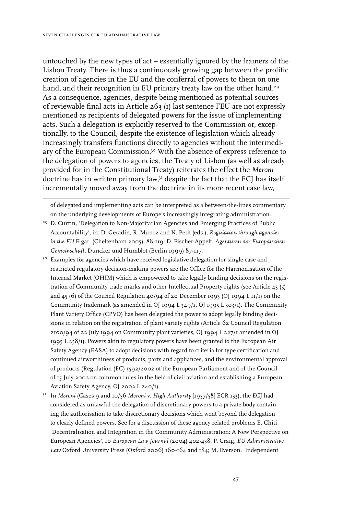untouched by the new types of act – essentially ignored by the framers of the Lisbon Treaty. There is thus a continuously growing gap between the prolific creation of agencies in the EU and the conferral of powers to them on one hand, and their recognition in EU primary treaty law on the other hand.<sup>29</sup> As a consequence, agencies, despite being mentioned as potential sources of reviewable final acts in Article 263 (1) last sentence FEU are not expressly mentioned as recipients of delegated powers for the issue of implementing acts. Such a delegation is explicitly reserved to the Commission or, exceptionally, to the Council, despite the existence of legislation which already increasingly transfers functions directly to agencies without the intermediary of the European Commission.<sup>30</sup> With the absence of express reference to the delegation of powers to agencies, the Treaty of Lisbon (as well as already provided for in the Constitutional Treaty) reiterates the effect the *Meroni* doctrine has in written primary law, $^{\mathfrak{z}\mathfrak{z}}$  despite the fact that the ECJ has itself incrementally moved away from the doctrine in its more recent case law,

of delegated and implementing acts can be interpreted as a between-the-lines commentary on the underlying developments of Europe's increasingly integrating administration.

- <sup>29</sup> D. Curtin, 'Delegation to Non-Majoritarian Agencies and Emerging Practices of Public Accountability', in: D. Geradin, R. Munoz and N. Petit (eds.), *Regulation through agencies in the EU* Elgar, (Cheltenham 2005), 88-119; D. Fischer-Appelt, *Agenturen der Europäischen Gemeinschaft*, Duncker und Humblot (Berlin 1999) 87-117.
- <sup>30</sup> Examples for agencies which have received legislative delegation for single case and restricted regulatory decision-making powers are the Office for the Harmonisation of the Internal Market (OHIM) which is empowered to take legally binding decisions on the registration of Community trade marks and other Intellectual Property rights (see Article 43 (5) and 45 (6) of the Council Regulation 40/94 of 20 December 1993 (OJ 1994 L 11/1) on the Community trademark (as amended in OJ 1994 L 349/1, OJ 1995 L 303/1). The Community Plant Variety Office (CPVO) has been delegated the power to adopt legally binding decisions in relation on the registration of plant variety rights (Article 62 Council Regulation  $2100/94$  of 22 July 1994 on Community plant varieties, OJ 1994 L 227/1 amended in OJ 1995 L 258/1). Powers akin to regulatory powers have been granted to the European Air Safety Agency (EASA) to adopt decisions with regard to criteria for type certification and continued airworthiness of products, parts and appliances, and the environmental approval of products (Regulation (EC) 1592/2002 of the European Parliament and of the Council of 15 July 2002 on common rules in the field of civil aviation and establishing a European Aviation Safety Agency, OJ 2002 L 240/1).
- 31 In *Meroni* (Cases 9 and 10/56 *Meroni* v. *High Authority* [1957/58] ECR 133), the ECJ had considered as unlawful the delegation of discretionary powers to a private body containing the authorisation to take discretionary decisions which went beyond the delegation to clearly defined powers. See for a discussion of these agency related problems E. Chiti, 'Decentralisation and Integration in the Community Administration: A New Perspective on European Agencies', 10 *European Law Journal* (2004) 402-438; P. Craig, *EU Administrative Law* Oxford University Press (Oxford 2006) 160-164 and 184; M. Everson, 'Independent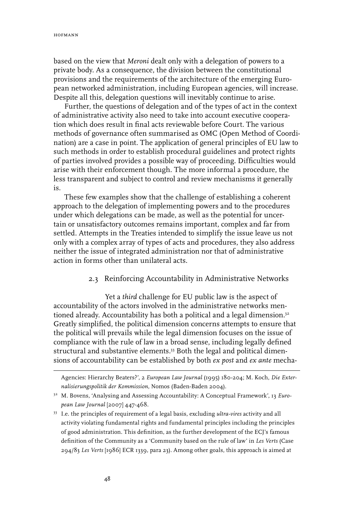based on the view that *Meroni* dealt only with a delegation of powers to a private body. As a consequence, the division between the constitutional provisions and the requirements of the architecture of the emerging European networked administration, including European agencies, will increase. Despite all this, delegation questions will inevitably continue to arise.

Further, the questions of delegation and of the types of act in the context of administrative activity also need to take into account executive cooperation which does result in final acts reviewable before Court. The various methods of governance often summarised as OMC (Open Method of Coordination) are a case in point. The application of general principles of EU law to such methods in order to establish procedural guidelines and protect rights of parties involved provides a possible way of proceeding. Difficulties would arise with their enforcement though. The more informal a procedure, the less transparent and subject to control and review mechanisms it generally is.

These few examples show that the challenge of establishing a coherent approach to the delegation of implementing powers and to the procedures under which delegations can be made, as well as the potential for uncertain or unsatisfactory outcomes remains important, complex and far from settled. Attempts in the Treaties intended to simplify the issue leave us not only with a complex array of types of acts and procedures, they also address neither the issue of integrated administration nor that of administrative action in forms other than unilateral acts.

#### 2.3 Reinforcing Accountability in Administrative Networks

Yet a *third* challenge for EU public law is the aspect of accountability of the actors involved in the administrative networks mentioned already. Accountability has both a political and a legal dimension.<sup>32</sup> Greatly simplified, the political dimension concerns attempts to ensure that the political will prevails while the legal dimension focuses on the issue of compliance with the rule of law in a broad sense, including legally defined structural and substantive elements.<sup>33</sup> Both the legal and political dimensions of accountability can be established by both *ex post* and *ex ante* mecha-

Agencies: Hierarchy Beaters?', 2 *European Law Journal* (1995) 180-204; M. Koch, *Die Externalisierungspolitik der Kommission,* Nomos (Baden-Baden 2004).

<sup>32</sup> M. Bovens, 'Analysing and Assessing Accountability: A Conceptual Framework', 13 *European Law Journal* [2007] 447-468.

<sup>33</sup> I.e. the principles of requirement of a legal basis, excluding *ultra-vires* activity and all activity violating fundamental rights and fundamental principles including the principles of good administration. This definition, as the further development of the ECJ's famous definition of the Community as a 'Community based on the rule of law' in *Les Verts* (Case 294/83 *Les Verts* [1986] ECR 1339, para 23). Among other goals, this approach is aimed at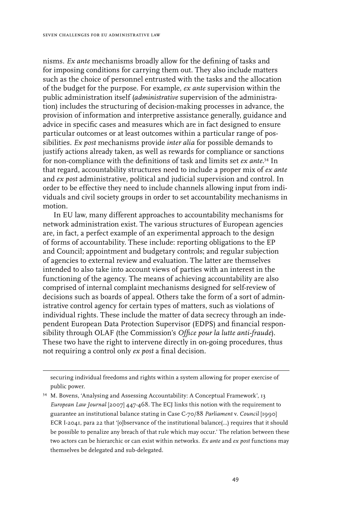nisms. *Ex ante* mechanisms broadly allow for the defining of tasks and for imposing conditions for carrying them out. They also include matters such as the choice of personnel entrusted with the tasks and the allocation of the budget for the purpose. For example, *ex ante* supervision within the public administration itself (*administrative* supervision of the administration) includes the structuring of decision-making processes in advance, the provision of information and interpretive assistance generally, guidance and advice in specific cases and measures which are in fact designed to ensure particular outcomes or at least outcomes within a particular range of possibilities. *Ex post* mechanisms provide *inter alia* for possible demands to justify actions already taken, as well as rewards for compliance or sanctions for non-compliance with the definitions of task and limits set *ex ante*. 34 In that regard, accountability structures need to include a proper mix of *ex ante* and *ex post* administrative, political and judicial supervision and control. In order to be effective they need to include channels allowing input from individuals and civil society groups in order to set accountability mechanisms in motion.

In EU law, many different approaches to accountability mechanisms for network administration exist. The various structures of European agencies are, in fact, a perfect example of an experimental approach to the design of forms of accountability. These include: reporting obligations to the EP and Council; appointment and budgetary controls; and regular subjection of agencies to external review and evaluation. The latter are themselves intended to also take into account views of parties with an interest in the functioning of the agency. The means of achieving accountability are also comprised of internal complaint mechanisms designed for self-review of decisions such as boards of appeal. Others take the form of a sort of administrative control agency for certain types of matters, such as violations of individual rights. These include the matter of data secrecy through an independent European Data Protection Supervisor (EDPS) and financial responsibility through OLAF (the Commission's *Office pour la lutte anti-fraude*). These two have the right to intervene directly in on-going procedures, thus not requiring a control only *ex post* a final decision.

securing individual freedoms and rights within a system allowing for proper exercise of public power.

<sup>34</sup> M. Bovens, 'Analysing and Assessing Accountability: A Conceptual Framework', 13 *European Law Journal* [2007] 447-468. The ECJ links this notion with the requirement to guarantee an institutional balance stating in Case C-70/88 *Parliament* v. *Council* [1990] ECR I-2041, para 22 that '[o]bservance of the institutional balance(…) requires that it should be possible to penalize any breach of that rule which may occur.' The relation between these two actors can be hierarchic or can exist within networks. *Ex ante* and *ex post* functions may themselves be delegated and sub-delegated.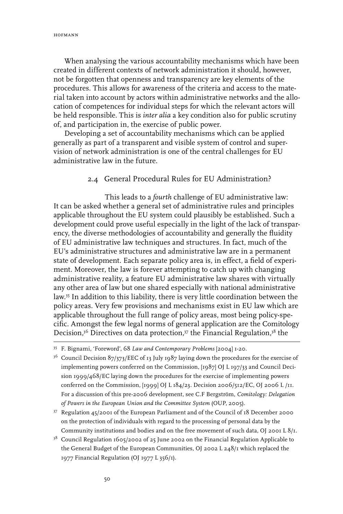When analysing the various accountability mechanisms which have been created in different contexts of network administration it should, however, not be forgotten that openness and transparency are key elements of the procedures. This allows for awareness of the criteria and access to the material taken into account by actors within administrative networks and the allocation of competences for individual steps for which the relevant actors will be held responsible. This is *inter alia* a key condition also for public scrutiny of, and participation in, the exercise of public power.

Developing a set of accountability mechanisms which can be applied generally as part of a transparent and visible system of control and supervision of network administration is one of the central challenges for EU administrative law in the future.

#### 2.4 General Procedural Rules for EU Administration?

This leads to a *fourth* challenge of EU administrative law: It can be asked whether a general set of administrative rules and principles applicable throughout the EU system could plausibly be established. Such a development could prove useful especially in the light of the lack of transparency, the diverse methodologies of accountability and generally the fluidity of EU administrative law techniques and structures. In fact, much of the EU's administrative structures and administrative law are in a permanent state of development. Each separate policy area is, in effect, a field of experiment. Moreover, the law is forever attempting to catch up with changing administrative reality, a feature EU administrative law shares with virtually any other area of law but one shared especially with national administrative law.35 In addition to this liability, there is very little coordination between the policy areas. Very few provisions and mechanisms exist in EU law which are applicable throughout the full range of policy areas, most being policy-specific. Amongst the few legal norms of general application are the Comitology Decision,<sup>36</sup> Directives on data protection,<sup>37</sup> the Financial Regulation,<sup>38</sup> the

<sup>36</sup> Council Decision 87/373/EEC of 13 July 1987 laying down the procedures for the exercise of implementing powers conferred on the Commission, [1987] OJ L 197/33 and Council Decision 1999/468/EC laying down the procedures for the exercise of implementing powers conferred on the Commission, [1999] OJ L 184/23. Decision 2006/512/EC, OJ 2006 L /11. For a discussion of this pre-2006 development, see C.F Bergström, *Comitology: Delegation of Powers in the European Union and the Committee System* (OUP, 2005).

37 Regulation 45/2001 of the European Parliament and of the Council of 18 December 2000 on the protection of individuals with regard to the processing of personal data by the Community institutions and bodies and on the free movement of such data, OJ 2001 L 8/1.

<sup>35</sup> F. Bignami, 'Foreword', 68 *Law and Contemporary Problems* [2004] 1-20.

<sup>&</sup>lt;sup>38</sup> Council Regulation 1605/2002 of 25 June 2002 on the Financial Regulation Applicable to the General Budget of the European Communities, OJ 2002 L 248/1 which replaced the 1977 Financial Regulation (OJ 1977 L 356/1).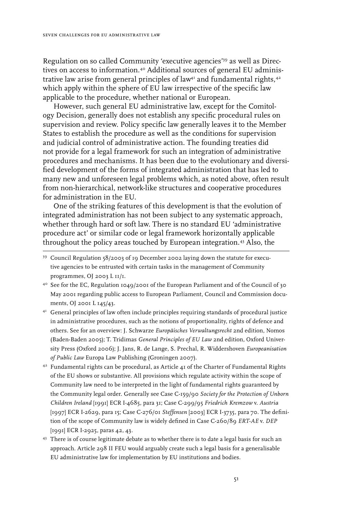Regulation on so called Community 'executive agencies'39 as well as Directives on access to information.40 Additional sources of general EU administrative law arise from general principles of law41 and fundamental rights,42 which apply within the sphere of EU law irrespective of the specific law applicable to the procedure, whether national or European.

However, such general EU administrative law, except for the Comitology Decision, generally does not establish any specific procedural rules on supervision and review. Policy specific law generally leaves it to the Member States to establish the procedure as well as the conditions for supervision and judicial control of administrative action. The founding treaties did not provide for a legal framework for such an integration of administrative procedures and mechanisms. It has been due to the evolutionary and diversified development of the forms of integrated administration that has led to many new and unforeseen legal problems which, as noted above, often result from non-hierarchical, network-like structures and cooperative procedures for administration in the EU.

One of the striking features of this development is that the evolution of integrated administration has not been subject to any systematic approach, whether through hard or soft law. There is no standard EU 'administrative procedure act' or similar code or legal framework horizontally applicable throughout the policy areas touched by European integration.43 Also, the

- 40 See for the EC, Regulation 1049/2001 of the European Parliament and of the Council of 30 May 2001 regarding public access to European Parliament, Council and Commission documents, OJ 2001 L 145/43.
- <sup>41</sup> General principles of law often include principles requiring standards of procedural justice in administrative procedures, such as the notions of proportionality, rights of defence and others. See for an overview: J. Schwarze *Europäisches Verwaltungsrecht* 2nd edition, Nomos (Baden-Baden 2005); T. Tridimas *General Principles of EU Law* 2nd edition, Oxford University Press (Oxford 2006); J. Jans, R. de Lange, S. Prechal, R. Widdershoven *Europeanisation of Public Law* Europa Law Publishing (Groningen 2007).
- 42 Fundamental rights can be procedural, as Article 41 of the Charter of Fundamental Rights of the EU shows or substantive. All provisions which regulate activity within the scope of Community law need to be interpreted in the light of fundamental rights guaranteed by the Community legal order. Generally see Case C-159/90 *Society for the Protection of Unborn Children Ireland* [1991] ECR I-4685, para 31; Case C-299/95 *Friedrich Kremzow* v. *Austria* [1997] ECR I-2629, para 15; Case C-276/01 *Steffensen* [2003] ECR I-3735, para 70. The definition of the scope of Community law is widely defined in Case C-260/89 *ERT-AE* v. *DEP* [1991] ECR I-2925, paras 42, 43.
- <sup>43</sup> There is of course legitimate debate as to whether there is to date a legal basis for such an approach. Article 298 II FEU would arguably create such a legal basis for a generalisable EU administrative law for implementation by EU institutions and bodies.

<sup>39</sup> Council Regulation 58/2003 of 19 December 2002 laying down the statute for executive agencies to be entrusted with certain tasks in the management of Community programmes, OJ 2003 L 11/1.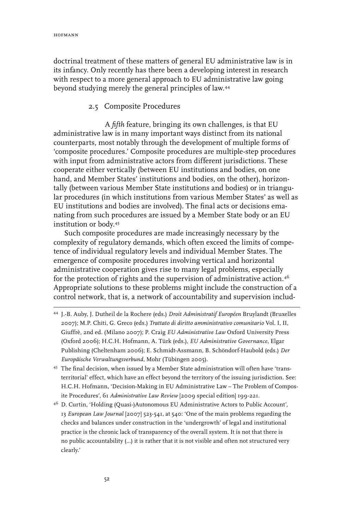doctrinal treatment of these matters of general EU administrative law is in its infancy. Only recently has there been a developing interest in research with respect to a more general approach to EU administrative law going beyond studying merely the general principles of law.44

#### 2.5 Composite Procedures

A *fifth* feature, bringing its own challenges, is that EU administrative law is in many important ways distinct from its national counterparts, most notably through the development of multiple forms of 'composite procedures.' Composite procedures are multiple-step procedures with input from administrative actors from different jurisdictions. These cooperate either vertically (between EU institutions and bodies, on one hand, and Member States' institutions and bodies, on the other), horizontally (between various Member State institutions and bodies) or in triangular procedures (in which institutions from various Member States' as well as EU institutions and bodies are involved). The final acts or decisions emanating from such procedures are issued by a Member State body or an EU institution or body.45

Such composite procedures are made increasingly necessary by the complexity of regulatory demands, which often exceed the limits of competence of individual regulatory levels and individual Member States. The emergence of composite procedures involving vertical and horizontal administrative cooperation gives rise to many legal problems, especially for the protection of rights and the supervision of administrative action.<sup>46</sup> Appropriate solutions to these problems might include the construction of a control network, that is, a network of accountability and supervision includ-

- 44 J.-B. Auby, J. Dutheil de la Rochere (eds.) *Droit Administratif Européen* Bruylandt (Bruxelles 2007); M.P. Chiti, G. Greco (eds.) *Trattato di diritto amministrativo comunitario* Vol. I, II, Giuffrè, 2nd ed. (Milano 2007); P. Craig *EU Administrative Law* Oxford University Press (Oxford 2006); H.C.H. Hofmann, A. Türk (eds.), *EU Administrative Governance*, Elgar Publishing (Cheltenham 2006); E. Schmidt-Assmann, B. Schöndorf-Haubold (eds.) *Der Europäische Verwaltungsverbund,* Mohr (Tübingen 2005).
- 45 The final decision, when issued by a Member State administration will often have 'transterritorial' effect, which have an effect beyond the territory of the issuing jurisdiction. See: H.C.H. Hofmann, 'Decision-Making in EU Administrative Law – The Problem of Composite Procedures', 61 *Administrative Law Review* [2009 special edition] 199-221.
- 46 D. Curtin, 'Holding (Quasi-)Autonomous EU Administrative Actors to Public Account', 13 *European Law Journal* [2007] 523-541, at 540: 'One of the main problems regarding the checks and balances under construction in the 'undergrowth' of legal and institutional practice is the chronic lack of transparency of the overall system. It is not that there is no public accountability (…) it is rather that it is not visible and often not structured very clearly.'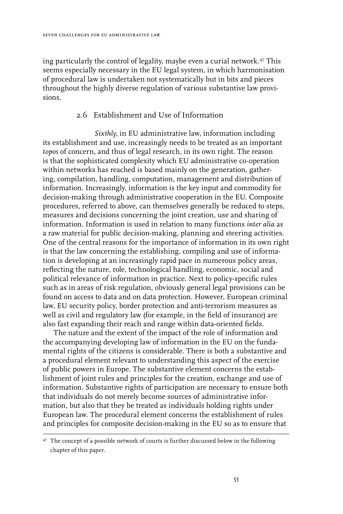ing particularly the control of legality, maybe even a curial network.<sup>47</sup> This seems especially necessary in the EU legal system, in which harmonisation of procedural law is undertaken not systematically but in bits and pieces throughout the highly diverse regulation of various substantive law provisions.

### 2.6 Establishment and Use of Information

*Sixthly,* in EU administrative law, information including its establishment and use, increasingly needs to be treated as an important *topos* of concern, and thus of legal research, in its own right. The reason is that the sophisticated complexity which EU administrative co-operation within networks has reached is based mainly on the generation, gathering, compilation, handling, computation, management and distribution of information. Increasingly, information is the key input and commodity for decision-making through administrative cooperation in the EU. Composite procedures, referred to above, can themselves generally be reduced to steps, measures and decisions concerning the joint creation, use and sharing of information. Information is used in relation to many functions *inter alia* as a raw material for public decision-making, planning and steering activities. One of the central reasons for the importance of information in its own right is that the law concerning the establishing, compiling and use of information is developing at an increasingly rapid pace in numerous policy areas, reflecting the nature, role, technological handling, economic, social and political relevance of information in practice. Next to policy-specific rules such as in areas of risk regulation, obviously general legal provisions can be found on access to data and on data protection. However, European criminal law, EU security policy, border protection and anti-terrorism measures as well as civil and regulatory law (for example, in the field of insurance) are also fast expanding their reach and range within data-oriented fields.

The nature and the extent of the impact of the role of information and the accompanying developing law of information in the EU on the fundamental rights of the citizens is considerable. There is both a substantive and a procedural element relevant to understanding this aspect of the exercise of public powers in Europe. The substantive element concerns the establishment of joint rules and principles for the creation, exchange and use of information. Substantive rights of participation are necessary to ensure both that individuals do not merely become sources of administrative information, but also that they be treated as individuals holding rights under European law. The procedural element concerns the establishment of rules and principles for composite decision-making in the EU so as to ensure that

<sup>&</sup>lt;sup>47</sup> The concept of a possible network of courts is further discussed below in the following chapter of this paper.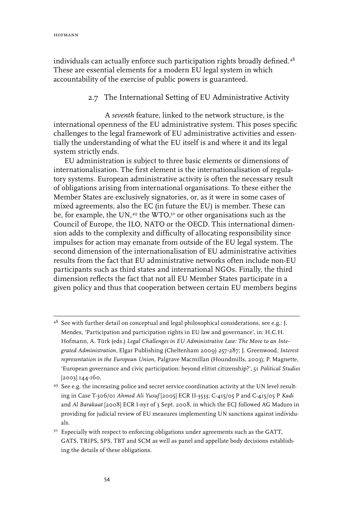individuals can actually enforce such participation rights broadly defined.<sup>48</sup> These are essential elements for a modern EU legal system in which accountability of the exercise of public powers is guaranteed.

### 2.7 The International Setting of EU Administrative Activity

A *seventh* feature, linked to the network structure, is the international openness of the EU administrative system. This poses specific challenges to the legal framework of EU administrative activities and essentially the understanding of what the EU itself is and where it and its legal system strictly ends.

EU administration is subject to three basic elements or dimensions of internationalisation. The first element is the internationalisation of regulatory systems. European administrative activity is often the necessary result of obligations arising from international organisations. To these either the Member States are exclusively signatories, or, as it were in some cases of mixed agreements, also the EC (in future the EU) is member. These can be, for example, the UN,<sup>49</sup> the WTO,<sup>50</sup> or other organisations such as the Council of Europe, the ILO, NATO or the OECD. This international dimension adds to the complexity and difficulty of allocating responsibility since impulses for action may emanate from outside of the EU legal system. The second dimension of the internationalisation of EU administrative activities results from the fact that EU administrative networks often include non-EU participants such as third states and international NGOs. Finally, the third dimension reflects the fact that not all EU Member States participate in a given policy and thus that cooperation between certain EU members begins

<sup>48</sup> See with further detail on conceptual and legal philosophical considerations, see e.g.: J. Mendes, 'Participation and participation rights in EU law and governance', in: H.C.H. Hofmann, A. Türk (eds.) *Legal Challenges in EU Administrative Law: The Move to an Integrated Administration*, Elgar Publishing (Cheltenham 2009) 257-287; J. Greenwood, *Interest representation in the European Union*, Palgrave Macmillan (Houndmills, 2003); P. Magnette, 'European governance and civic participation: beyond elitist citizenship?', 51 *Political Studies* [2003] 144-160.

<sup>49</sup> See e.g. the increasing police and secret service coordination activity at the UN level resulting in Case T-306/01 *Ahmed Ali Yusuf* [2005] ECR II-3533; C-415/05 P and C-415/05 P *Kadi*  and *Al Barakaat* [2008] ECR I-nyr of 3 Sept. 2008, in which the ECJ followed AG Maduro in providing for judicial review of EU measures implementing UN sanctions against individuals.

<sup>&</sup>lt;sup>50</sup> Especially with respect to enforcing obligations under agreements such as the GATT, GATS, TRIPS, SPS, TBT and SCM as well as panel and appellate body decisions establishing the details of these obligations.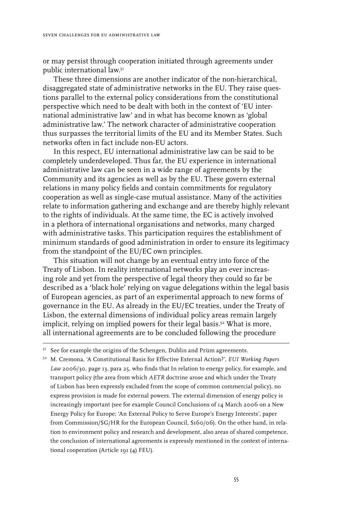or may persist through cooperation initiated through agreements under public international law.<sup>51</sup>

These three dimensions are another indicator of the non-hierarchical, disaggregated state of administrative networks in the EU. They raise questions parallel to the external policy considerations from the constitutional perspective which need to be dealt with both in the context of 'EU international administrative law' and in what has become known as 'global administrative law.' The network character of administrative cooperation thus surpasses the territorial limits of the EU and its Member States. Such networks often in fact include non-EU actors.

In this respect, EU international administrative law can be said to be completely underdeveloped. Thus far, the EU experience in international administrative law can be seen in a wide range of agreements by the Community and its agencies as well as by the EU. These govern external relations in many policy fields and contain commitments for regulatory cooperation as well as single-case mutual assistance. Many of the activities relate to information gathering and exchange and are thereby highly relevant to the rights of individuals. At the same time, the EC is actively involved in a plethora of international organisations and networks, many charged with administrative tasks. This participation requires the establishment of minimum standards of good administration in order to ensure its legitimacy from the standpoint of the EU/EC own principles.

This situation will not change by an eventual entry into force of the Treaty of Lisbon. In reality international networks play an ever increasing role and yet from the perspective of legal theory they could so far be described as a 'black hole' relying on vague delegations within the legal basis of European agencies, as part of an experimental approach to new forms of governance in the EU. As already in the EU/EC treaties, under the Treaty of Lisbon, the external dimensions of individual policy areas remain largely implicit, relying on implied powers for their legal basis.52 What is more, all international agreements are to be concluded following the procedure

52 M. Cremona, 'A Constitutional Basis for Effective External Action?', *EUI Working Papers Law* 2006/30, page 13, para 25, who finds that In relation to energy policy, for example, and transport policy (the area from which *AETR* doctrine arose and which under the Treaty of Lisbon has been expressly excluded from the scope of common commercial policy), no express provision is made for external powers. The external dimension of energy policy is increasingly important (see for example Council Conclusions of 14 March 2006 on a New Energy Policy for Europe; 'An External Policy to Serve Europe's Energy Interests', paper from Commission/SG/HR for the European Council, S160/06). On the other hand, in relation to environment policy and research and development, also areas of shared competence, the conclusion of international agreements is expressly mentioned in the context of international cooperation (Article 191 (4) FEU).

<sup>&</sup>lt;sup>51</sup> See for example the origins of the Schengen, Dublin and Prüm agreements.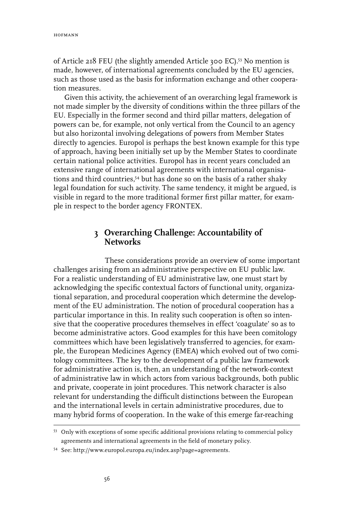of Article 218 FEU (the slightly amended Article 300 EC).53 No mention is made, however, of international agreements concluded by the EU agencies, such as those used as the basis for information exchange and other cooperation measures.

Given this activity, the achievement of an overarching legal framework is not made simpler by the diversity of conditions within the three pillars of the EU. Especially in the former second and third pillar matters, delegation of powers can be, for example, not only vertical from the Council to an agency but also horizontal involving delegations of powers from Member States directly to agencies. Europol is perhaps the best known example for this type of approach, having been initially set up by the Member States to coordinate certain national police activities. Europol has in recent years concluded an extensive range of international agreements with international organisations and third countries,<sup>54</sup> but has done so on the basis of a rather shaky legal foundation for such activity. The same tendency, it might be argued, is visible in regard to the more traditional former first pillar matter, for example in respect to the border agency FRONTEX.

# **3 Overarching Challenge: Accountability of Networks**

These considerations provide an overview of some important challenges arising from an administrative perspective on EU public law. For a realistic understanding of EU administrative law, one must start by acknowledging the specific contextual factors of functional unity, organizational separation, and procedural cooperation which determine the development of the EU administration. The notion of procedural cooperation has a particular importance in this. In reality such cooperation is often so intensive that the cooperative procedures themselves in effect 'coagulate' so as to become administrative actors. Good examples for this have been comitology committees which have been legislatively transferred to agencies, for example, the European Medicines Agency (EMEA) which evolved out of two comitology committees. The key to the development of a public law framework for administrative action is, then, an understanding of the network-context of administrative law in which actors from various backgrounds, both public and private, cooperate in joint procedures. This network character is also relevant for understanding the difficult distinctions between the European and the international levels in certain administrative procedures, due to many hybrid forms of cooperation. In the wake of this emerge far-reaching

<sup>53</sup> Only with exceptions of some specific additional provisions relating to commercial policy agreements and international agreements in the field of monetary policy.

<sup>54</sup> See: http://www.europol.europa.eu/index.asp?page=agreements.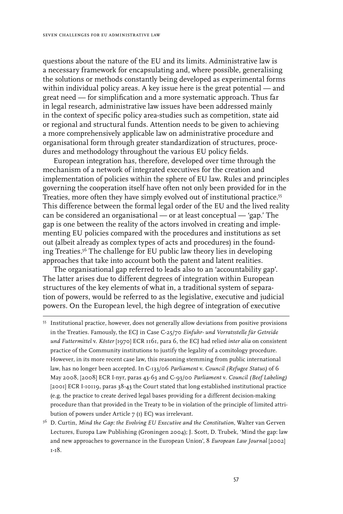questions about the nature of the EU and its limits. Administrative law is a necessary framework for encapsulating and, where possible, generalising the solutions or methods constantly being developed as experimental forms within individual policy areas. A key issue here is the great potential — and great need — for simplification and a more systematic approach. Thus far in legal research, administrative law issues have been addressed mainly in the context of specific policy area-studies such as competition, state aid or regional and structural funds. Attention needs to be given to achieving a more comprehensively applicable law on administrative procedure and organisational form through greater standardization of structures, procedures and methodology throughout the various EU policy fields.

European integration has, therefore, developed over time through the mechanism of a network of integrated executives for the creation and implementation of policies within the sphere of EU law. Rules and principles governing the cooperation itself have often not only been provided for in the Treaties, more often they have simply evolved out of institutional practice.55 This difference between the formal legal order of the EU and the lived reality can be considered an organisational — or at least conceptual — 'gap.' The gap is one between the reality of the actors involved in creating and implementing EU policies compared with the procedures and institutions as set out (albeit already as complex types of acts and procedures) in the founding Treaties.56 The challenge for EU public law theory lies in developing approaches that take into account both the patent and latent realities.

The organisational gap referred to leads also to an 'accountability gap'. The latter arises due to different degrees of integration within European structures of the key elements of what in, a traditional system of separation of powers, would be referred to as the legislative, executive and judicial powers. On the European level, the high degree of integration of executive

55 Institutional practice, however, does not generally allow deviations from positive provisions in the Treaties. Famously, the ECJ in Case C-25/70 *Einfuhr- und Vorratsstelle für Getreide und Futtermittel* v. *Köster* [1970] ECR 1161, para 6, the ECJ had relied *inter alia* on consistent practice of the Community institutions to justify the legality of a comitology procedure. However, in its more recent case law, this reasoning stemming from public international law, has no longer been accepted. In C-133/06 *Parliament* v. *Council (Refugee Status)* of 6 May 2008, [2008] ECR I-nyr, paras 43-63 and C-93/00 *Parliament* v. *Council (Beef Labeling)*  [2001] ECR I-10119, paras 38-43 the Court stated that long established institutional practice (e.g. the practice to create derived legal bases providing for a different decision-making procedure than that provided in the Treaty to be in violation of the principle of limited attribution of powers under Article 7 (1) EC) was irrelevant.

56 D. Curtin, *Mind the Gap: the Evolving EU Executive and the Constitution*, Walter van Gerven Lectures, Europa Law Publishing (Groningen 2004); J. Scott, D. Trubek, 'Mind the gap: law and new approaches to governance in the European Union', 8 *European Law Journal* [2002] 1-18.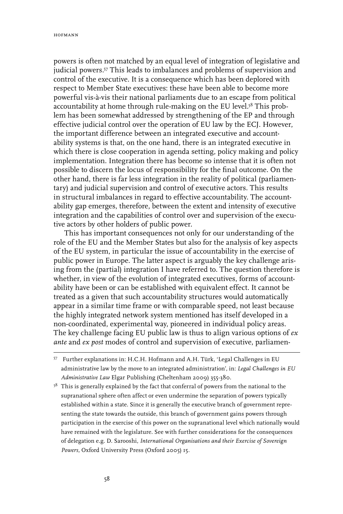powers is often not matched by an equal level of integration of legislative and judicial powers.<sup>57</sup> This leads to imbalances and problems of supervision and control of the executive. It is a consequence which has been deplored with respect to Member State executives: these have been able to become more powerful vis-à-vis their national parliaments due to an escape from political accountability at home through rule-making on the EU level.<sup>58</sup> This problem has been somewhat addressed by strengthening of the EP and through effective judicial control over the operation of EU law by the ECJ. However, the important difference between an integrated executive and accountability systems is that, on the one hand, there is an integrated executive in which there is close cooperation in agenda setting, policy making and policy implementation. Integration there has become so intense that it is often not possible to discern the locus of responsibility for the final outcome. On the other hand, there is far less integration in the reality of political (parliamentary) and judicial supervision and control of executive actors. This results in structural imbalances in regard to effective accountability. The accountability gap emerges, therefore, between the extent and intensity of executive integration and the capabilities of control over and supervision of the executive actors by other holders of public power.

This has important consequences not only for our understanding of the role of the EU and the Member States but also for the analysis of key aspects of the EU system, in particular the issue of accountability in the exercise of public power in Europe. The latter aspect is arguably the key challenge arising from the (partial) integration I have referred to. The question therefore is whether, in view of the evolution of integrated executives, forms of accountability have been or can be established with equivalent effect. It cannot be treated as a given that such accountability structures would automatically appear in a similar time frame or with comparable speed, not least because the highly integrated network system mentioned has itself developed in a non-coordinated, experimental way, pioneered in individual policy areas. The key challenge facing EU public law is thus to align various options of *ex ante* and *ex post* modes of control and supervision of executive, parliamen-

 $58$  This is generally explained by the fact that conferral of powers from the national to the supranational sphere often affect or even undermine the separation of powers typically established within a state. Since it is generally the executive branch of government representing the state towards the outside, this branch of government gains powers through participation in the exercise of this power on the supranational level which nationally would have remained with the legislature. See with further considerations for the consequences of delegation e.g. D. Sarooshi, *International Organisations and their Exercise of Sovereign Powers,* Oxford University Press (Oxford 2005) 15.

<sup>57</sup> Further explanations in: H.C.H. Hofmann and A.H. Türk, 'Legal Challenges in EU administrative law by the move to an integrated administration', in: *Legal Challenges in EU Administrative Law* Elgar Publishing (Cheltenham 2009) 355-380.